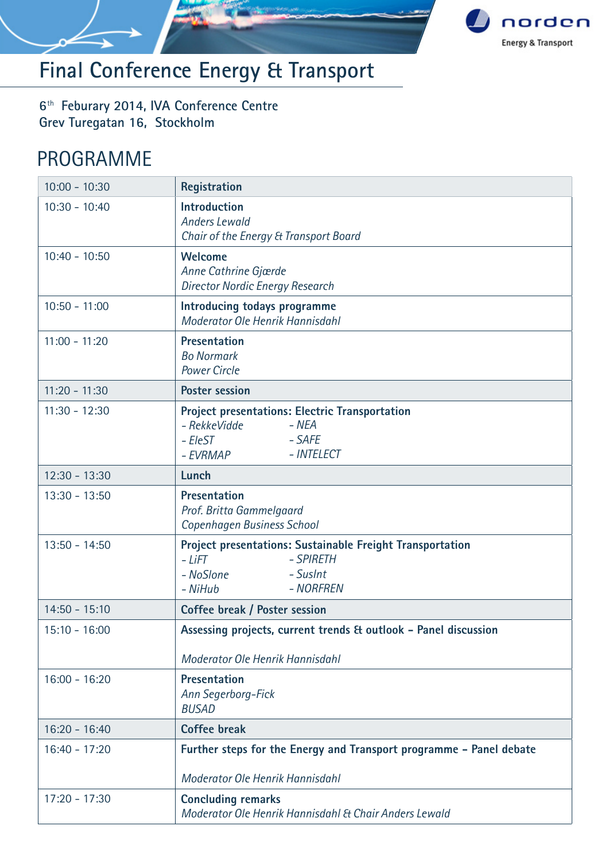

# **Final Conference Energy & Transport**

6<sup>th</sup> Feburary 2014, IVA Conference Centre **Grev Turegatan 16, Stockholm**

### PROGRAMME

| $10:00 - 10:30$ | Registration                                                                                                                              |
|-----------------|-------------------------------------------------------------------------------------------------------------------------------------------|
| $10:30 - 10:40$ | <b>Introduction</b><br><b>Anders Lewald</b><br>Chair of the Energy & Transport Board                                                      |
| $10:40 - 10:50$ | <b>Welcome</b><br>Anne Cathrine Gjærde<br><b>Director Nordic Energy Research</b>                                                          |
| $10:50 - 11:00$ | Introducing todays programme<br>Moderator Ole Henrik Hannisdahl                                                                           |
| $11:00 - 11:20$ | Presentation<br><b>Bo Normark</b><br><b>Power Circle</b>                                                                                  |
| $11:20 - 11:30$ | <b>Poster session</b>                                                                                                                     |
| $11:30 - 12:30$ | <b>Project presentations: Electric Transportation</b><br>- RekkeVidde<br>- NEA<br>- EleST<br>- SAFE<br>- INTELECT<br>- EVRMAP             |
| $12:30 - 13:30$ | Lunch                                                                                                                                     |
| $13:30 - 13:50$ | Presentation<br>Prof. Britta Gammelgaard<br>Copenhagen Business School                                                                    |
| $13:50 - 14:50$ | <b>Project presentations: Sustainable Freight Transportation</b><br>$-LiFT$<br>- SPIRETH<br>- SusInt<br>– NoSlone<br>- NORFREN<br>- NiHub |
| $14:50 - 15:10$ | Coffee break / Poster session                                                                                                             |
| $15:10 - 16:00$ | Assessing projects, current trends & outlook - Panel discussion<br>Moderator Ole Henrik Hannisdahl                                        |
| $16:00 - 16:20$ | Presentation<br>Ann Segerborg-Fick<br><b>BUSAD</b>                                                                                        |
| $16:20 - 16:40$ | <b>Coffee break</b>                                                                                                                       |
| $16:40 - 17:20$ | Further steps for the Energy and Transport programme - Panel debate<br>Moderator Ole Henrik Hannisdahl                                    |
| $17:20 - 17:30$ | <b>Concluding remarks</b><br>Moderator Ole Henrik Hannisdahl & Chair Anders Lewald                                                        |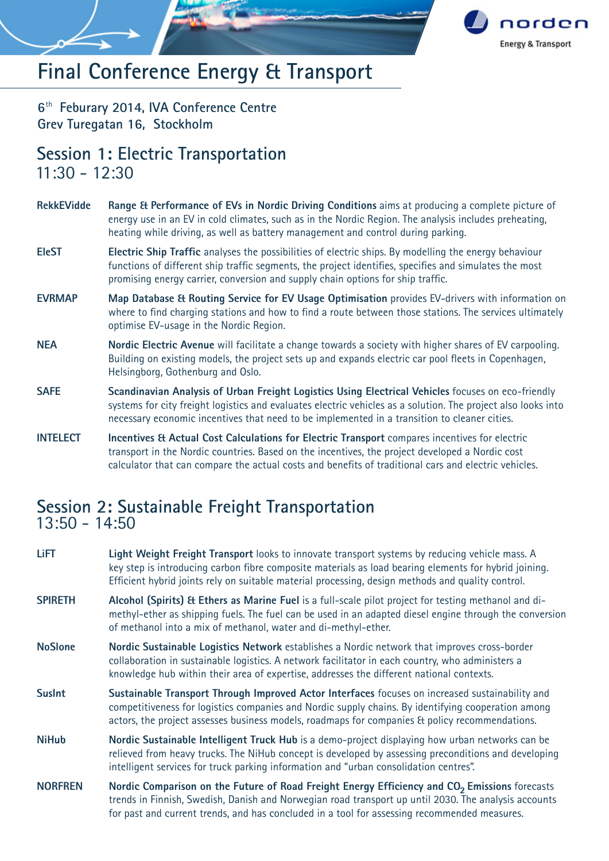

## **Final Conference Energy & Transport**

6<sup>th</sup> Feburary 2014, IVA Conference Centre **Grev Turegatan 16, Stockholm**

### **Session 1: Electric Transportation** 11:30 - 12:30

- **RekkEVidde Range & Performance of EVs in Nordic Driving Conditions** aims at producing a complete picture of energy use in an EV in cold climates, such as in the Nordic Region. The analysis includes preheating, heating while driving, as well as battery management and control during parking.
- **EleST Electric Ship Traffic** analyses the possibilities of electric ships. By modelling the energy behaviour functions of different ship traffic segments, the project identifies, specifies and simulates the most promising energy carrier, conversion and supply chain options for ship traffic.
- **EVRMAP Map Database & Routing Service for EV Usage Optimisation** provides EV-drivers with information on where to find charging stations and how to find a route between those stations. The services ultimately optimise EV-usage in the Nordic Region.
- **NEA Nordic Electric Avenue** will facilitate a change towards a society with higher shares of EV carpooling. Building on existing models, the project sets up and expands electric car pool fleets in Copenhagen, Helsingborg, Gothenburg and Oslo.
- **SAFE Scandinavian Analysis of Urban Freight Logistics Using Electrical Vehicles** focuses on eco-friendly systems for city freight logistics and evaluates electric vehicles as a solution. The project also looks into necessary economic incentives that need to be implemented in a transition to cleaner cities.
- **INTELECT Incentives & Actual Cost Calculations for Electric Transport** compares incentives for electric transport in the Nordic countries. Based on the incentives, the project developed a Nordic cost calculator that can compare the actual costs and benefits of traditional cars and electric vehicles.

### **Session 2: Sustainable Freight Transportation** 13:50 - 14:50

- **LiFT Light Weight Freight Transport** looks to innovate transport systems by reducing vehicle mass. A key step is introducing carbon fibre composite materials as load bearing elements for hybrid joining. Efficient hybrid joints rely on suitable material processing, design methods and quality control.
- **SPIRETH Alcohol (Spirits) & Ethers as Marine Fuel** is a full-scale pilot project for testing methanol and dimethyl-ether as shipping fuels. The fuel can be used in an adapted diesel engine through the conversion of methanol into a mix of methanol, water and di-methyl-ether.
- **NoSlone Nordic Sustainable Logistics Network** establishes a Nordic network that improves cross-border collaboration in sustainable logistics. A network facilitator in each country, who administers a knowledge hub within their area of expertise, addresses the different national contexts.
- **SusInt Sustainable Transport Through Improved Actor Interfaces** focuses on increased sustainability and competitiveness for logistics companies and Nordic supply chains. By identifying cooperation among actors, the project assesses business models, roadmaps for companies & policy recommendations.
- **NiHub Nordic Sustainable Intelligent Truck Hub** is a demo-project displaying how urban networks can be relieved from heavy trucks. The NiHub concept is developed by assessing preconditions and developing intelligent services for truck parking information and "urban consolidation centres".
- **NORFREN** Mordic Comparison on the Future of Road Freight Energy Efficiency and CO<sub>2</sub> Emissions forecasts trends in Finnish, Swedish, Danish and Norwegian road transport up until 2030. The analysis accounts for past and current trends, and has concluded in a tool for assessing recommended measures.